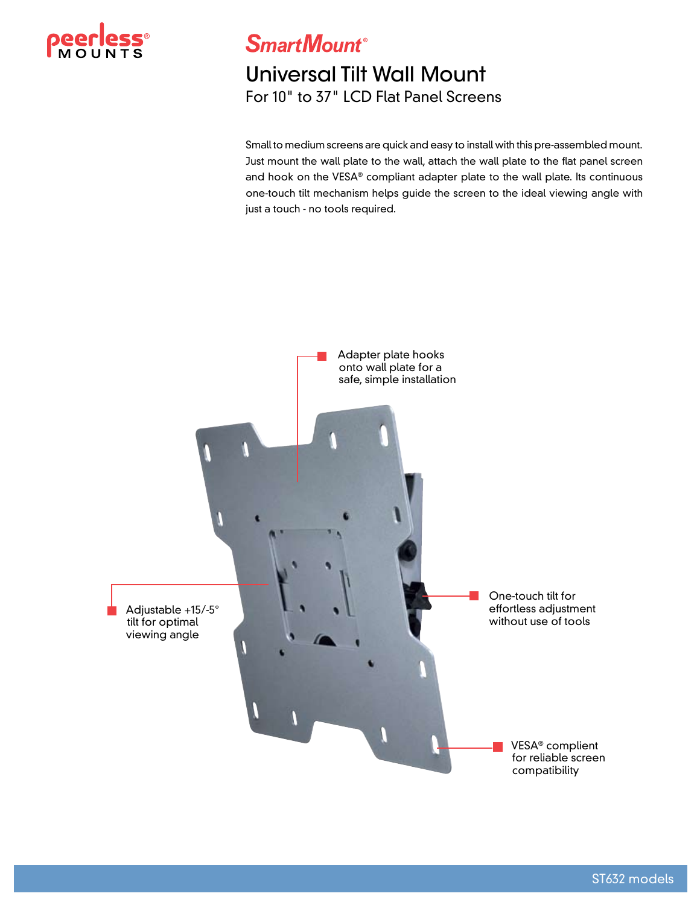

**SmartMount®** 

## Universal Tilt Wall Mount For 10" to 37" LCD Flat Panel Screens

Small to medium screens are quick and easy to install with this pre-assembled mount. Just mount the wall plate to the wall, attach the wall plate to the flat panel screen and hook on the VESA® compliant adapter plate to the wall plate. Its continuous one-touch tilt mechanism helps guide the screen to the ideal viewing angle with just a touch - no tools required.